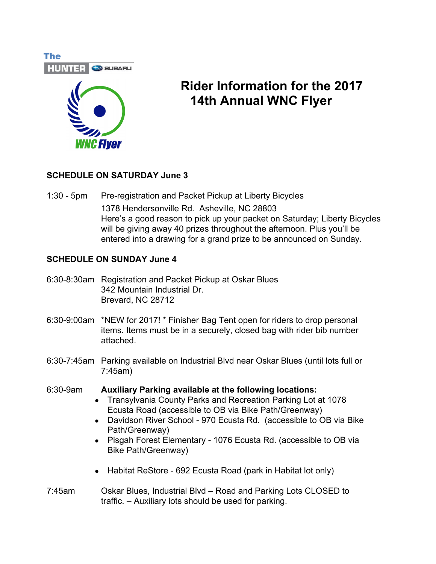



# **Rider Information for the 2017 14th Annual WNC Flyer**

#### **SCHEDULE ON SATURDAY June 3**

1:30 - 5pm Pre-registration and Packet Pickup at Liberty Bicycles 1378 Hendersonville Rd. Asheville, NC 28803 Here's a good reason to pick up your packet on Saturday; Liberty Bicycles will be giving away 40 prizes throughout the afternoon. Plus you'll be entered into a drawing for a grand prize to be announced on Sunday.

#### **SCHEDULE ON SUNDAY June 4**

- 6:30-8:30am Registration and Packet Pickup at Oskar Blues 342 Mountain Industrial Dr. Brevard, NC 28712
- 6:30-9:00am \*NEW for 2017! \* Finisher Bag Tent open for riders to drop personal items. Items must be in a securely, closed bag with rider bib number attached.
- 6:30-7:45am Parking available on Industrial Blvd near Oskar Blues (until lots full or 7:45am)
- 6:30-9am **Auxiliary Parking available at the following locations:**
	- Transylvania County Parks and Recreation Parking Lot at 1078 Ecusta Road (accessible to OB via Bike Path/Greenway)
	- Davidson River School 970 Ecusta Rd. (accessible to OB via Bike Path/Greenway)
	- Pisgah Forest Elementary 1076 Ecusta Rd. (accessible to OB via Bike Path/Greenway)
	- Habitat ReStore 692 Ecusta Road (park in Habitat lot only)
- 7:45am Oskar Blues, Industrial Blvd Road and Parking Lots CLOSED to traffic. – Auxiliary lots should be used for parking.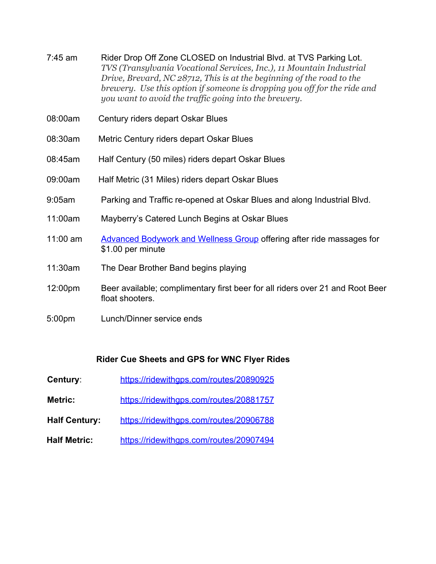- 7:45 am Rider Drop Off Zone CLOSED on Industrial Blvd. at TVS Parking Lot. *TVS (Transylvania Vocational Services, Inc.), 11 Mountain Industrial Drive, Brevard, NC 28712, This is at the beginning of the road to the brewery. Use this option if someone is dropping you off for the ride and you want to avoid the traffic going into the brewery.*
- 08:00am Century riders depart Oskar Blues
- 08:30am Metric Century riders depart Oskar Blues
- 08:45am Half Century (50 miles) riders depart Oskar Blues
- 09:00am Half Metric (31 Miles) riders depart Oskar Blues
- 9:05am Parking and Traffic re-opened at Oskar Blues and along Industrial Blvd.
- 11:00am Mayberry's Catered Lunch Begins at Oskar Blues
- 11:00 am [Advanced Bodywork and Wellness Group](https://www.facebook.com/advancedbodywork) offering after ride massages for \$1.00 per minute
- 11:30am The Dear Brother Band begins playing
- 12:00pm Beer available; complimentary first beer for all riders over 21 and Root Beer float shooters.
- 5:00pm Lunch/Dinner service ends

#### **Rider Cue Sheets and GPS for WNC Flyer Rides**

- **Century:** <https://ridewithgps.com/routes/20890925>
- Metric: <https://ridewithgps.com/routes/20881757>
- **Half Century:** <https://ridewithgps.com/routes/20906788>
- **Half Metric:** <https://ridewithgps.com/routes/20907494>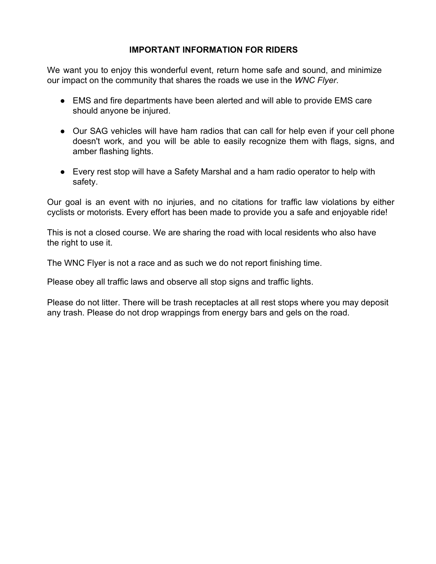#### **IMPORTANT INFORMATION FOR RIDERS**

We want you to enjoy this wonderful event, return home safe and sound, and minimize our impact on the community that shares the roads we use in the *WNC Flyer*.

- EMS and fire departments have been alerted and will able to provide EMS care should anyone be injured.
- Our SAG vehicles will have ham radios that can call for help even if your cell phone doesn't work, and you will be able to easily recognize them with flags, signs, and amber flashing lights.
- Every rest stop will have a Safety Marshal and a ham radio operator to help with safety.

Our goal is an event with no injuries, and no citations for traffic law violations by either cyclists or motorists. Every effort has been made to provide you a safe and enjoyable ride!

This is not a closed course. We are sharing the road with local residents who also have the right to use it.

The WNC Flyer is not a race and as such we do not report finishing time.

Please obey all traffic laws and observe all stop signs and traffic lights.

Please do not litter. There will be trash receptacles at all rest stops where you may deposit any trash. Please do not drop wrappings from energy bars and gels on the road.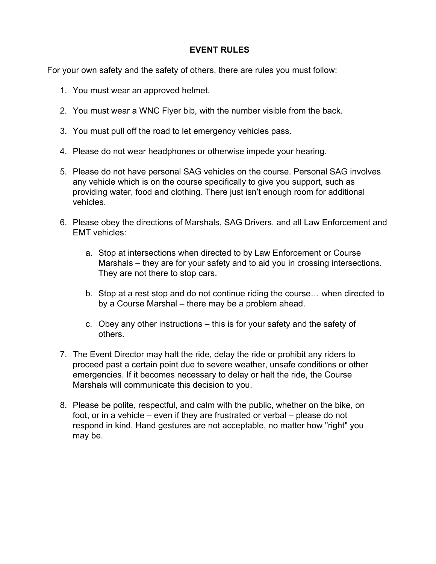#### **EVENT RULES**

For your own safety and the safety of others, there are rules you must follow:

- 1. You must wear an approved helmet.
- 2. You must wear a WNC Flyer bib, with the number visible from the back.
- 3. You must pull off the road to let emergency vehicles pass.
- 4. Please do not wear headphones or otherwise impede your hearing.
- 5. Please do not have personal SAG vehicles on the course. Personal SAG involves any vehicle which is on the course specifically to give you support, such as providing water, food and clothing. There just isn't enough room for additional vehicles.
- 6. Please obey the directions of Marshals, SAG Drivers, and all Law Enforcement and EMT vehicles:
	- a. Stop at intersections when directed to by Law Enforcement or Course Marshals – they are for your safety and to aid you in crossing intersections. They are not there to stop cars.
	- b. Stop at a rest stop and do not continue riding the course… when directed to by a Course Marshal – there may be a problem ahead.
	- c. Obey any other instructions this is for your safety and the safety of others.
- 7. The Event Director may halt the ride, delay the ride or prohibit any riders to proceed past a certain point due to severe weather, unsafe conditions or other emergencies. If it becomes necessary to delay or halt the ride, the Course Marshals will communicate this decision to you.
- 8. Please be polite, respectful, and calm with the public, whether on the bike, on foot, or in a vehicle – even if they are frustrated or verbal – please do not respond in kind. Hand gestures are not acceptable, no matter how "right" you may be.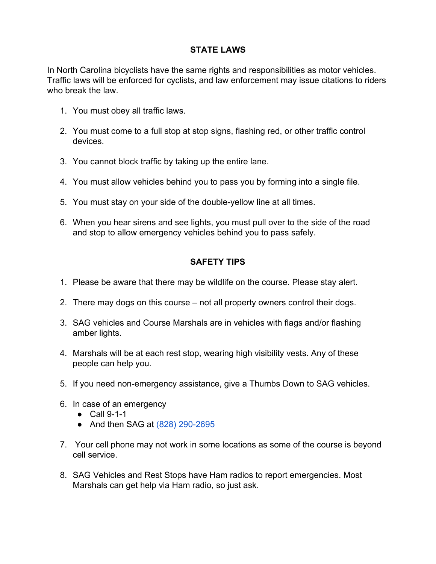#### **STATE LAWS**

In North Carolina bicyclists have the same rights and responsibilities as motor vehicles. Traffic laws will be enforced for cyclists, and law enforcement may issue citations to riders who break the law.

- 1. You must obey all traffic laws.
- 2. You must come to a full stop at stop signs, flashing red, or other traffic control devices.
- 3. You cannot block traffic by taking up the entire lane.
- 4. You must allow vehicles behind you to pass you by forming into a single file.
- 5. You must stay on your side of the double-yellow line at all times.
- 6. When you hear sirens and see lights, you must pull over to the side of the road and stop to allow emergency vehicles behind you to pass safely.

### **SAFETY TIPS**

- 1. Please be aware that there may be wildlife on the course. Please stay alert.
- 2. There may dogs on this course not all property owners control their dogs.
- 3. SAG vehicles and Course Marshals are in vehicles with flags and/or flashing amber lights.
- 4. Marshals will be at each rest stop, wearing high visibility vests. Any of these people can help you.
- 5. If you need non-emergency assistance, give a Thumbs Down to SAG vehicles.
- 6. In case of an emergency
	- Call 9-1-1
	- And then SAG at (828) 290-2695
- 7. Your cell phone may not work in some locations as some of the course is beyond cell service.
- 8. SAG Vehicles and Rest Stops have Ham radios to report emergencies. Most Marshals can get help via Ham radio, so just ask.